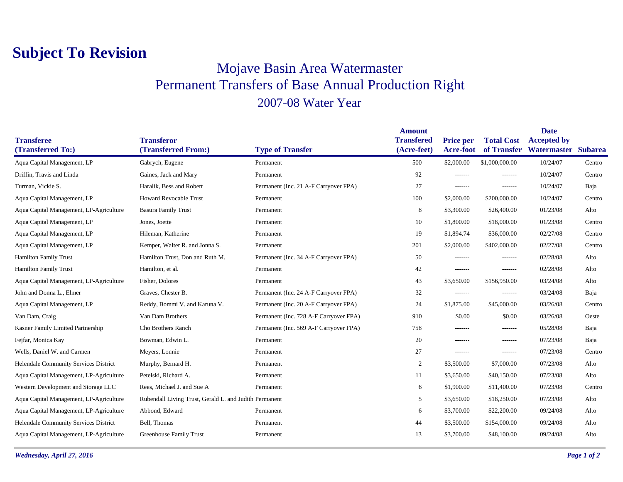## **Subject To Revision**

## Mojave Basin Area Watermaster Permanent Transfers of Base Annual Production Right 2007-08 Water Year

| <b>Transferee</b>                       | <b>Transferor</b>                                      |                                        | <b>Amount</b><br><b>Transfered</b> | <b>Price per</b> | <b>Total Cost</b> | <b>Date</b><br><b>Accepted by</b> |        |
|-----------------------------------------|--------------------------------------------------------|----------------------------------------|------------------------------------|------------------|-------------------|-----------------------------------|--------|
| (Transferred To:)                       | (Transferred From:)                                    | <b>Type of Transfer</b>                | (Acre-feet)                        | <b>Acre-foot</b> |                   | of Transfer Watermaster Subarea   |        |
| Aqua Capital Management, LP             | Gabrych, Eugene                                        | Permanent                              | 500                                | \$2,000.00       | \$1,000,000.00    | 10/24/07                          | Centro |
| Driffin, Travis and Linda               | Gaines, Jack and Mary                                  | Permanent                              | 92                                 | -------          | -------           | 10/24/07                          | Centro |
| Turman, Vickie S.                       | Haralik, Bess and Robert                               | Permanent (Inc. 21 A-F Carryover FPA)  | 27                                 | -------          | -------           | 10/24/07                          | Baja   |
| Aqua Capital Management, LP             | <b>Howard Revocable Trust</b>                          | Permanent                              | 100                                | \$2,000.00       | \$200,000.00      | 10/24/07                          | Centro |
| Aqua Capital Management, LP-Agriculture | <b>Basura Family Trust</b>                             | Permanent                              | 8                                  | \$3,300.00       | \$26,400.00       | 01/23/08                          | Alto   |
| Aqua Capital Management, LP             | Jones, Joette                                          | Permanent                              | 10                                 | \$1,800.00       | \$18,000.00       | 01/23/08                          | Centro |
| Aqua Capital Management, LP             | Hileman, Katherine                                     | Permanent                              | 19                                 | \$1,894.74       | \$36,000.00       | 02/27/08                          | Centro |
| Aqua Capital Management, LP             | Kemper, Walter R. and Jonna S.                         | Permanent                              | 201                                | \$2,000.00       | \$402,000.00      | 02/27/08                          | Centro |
| <b>Hamilton Family Trust</b>            | Hamilton Trust, Don and Ruth M.                        | Permanent (Inc. 34 A-F Carryover FPA)  | 50                                 | -------          | -------           | 02/28/08                          | Alto   |
| <b>Hamilton Family Trust</b>            | Hamilton, et al.                                       | Permanent                              | 42                                 | -------          | -------           | 02/28/08                          | Alto   |
| Aqua Capital Management, LP-Agriculture | Fisher, Dolores                                        | Permanent                              | 43                                 | \$3,650.00       | \$156,950.00      | 03/24/08                          | Alto   |
| John and Donna L., Elmer                | Graves, Chester B.                                     | Permanent (Inc. 24 A-F Carryover FPA)  | 32                                 | -------          | -------           | 03/24/08                          | Baja   |
| Aqua Capital Management, LP             | Reddy, Bommi V. and Karuna V.                          | Permanent (Inc. 20 A-F Carryover FPA)  | 24                                 | \$1,875.00       | \$45,000.00       | 03/26/08                          | Centro |
| Van Dam, Craig                          | Van Dam Brothers                                       | Permanent (Inc. 728 A-F Carryover FPA) | 910                                | \$0.00           | \$0.00            | 03/26/08                          | Oeste  |
| Kasner Family Limited Partnership       | Cho Brothers Ranch                                     | Permanent (Inc. 569 A-F Carryover FPA) | 758                                | -------          | -------           | 05/28/08                          | Baja   |
| Fejfar, Monica Kay                      | Bowman, Edwin L.                                       | Permanent                              | 20                                 | -------          | -------           | 07/23/08                          | Baja   |
| Wells, Daniel W. and Carmen             | Meyers, Lonnie                                         | Permanent                              | 27                                 | $- - - - - - -$  | -------           | 07/23/08                          | Centro |
| Helendale Community Services District   | Murphy, Bernard H.                                     | Permanent                              | 2                                  | \$3,500.00       | \$7,000.00        | 07/23/08                          | Alto   |
| Aqua Capital Management, LP-Agriculture | Petelski, Richard A.                                   | Permanent                              | 11                                 | \$3,650.00       | \$40,150.00       | 07/23/08                          | Alto   |
| Western Development and Storage LLC     | Rees, Michael J. and Sue A                             | Permanent                              | 6                                  | \$1,900.00       | \$11,400.00       | 07/23/08                          | Centro |
| Aqua Capital Management, LP-Agriculture | Rubendall Living Trust, Gerald L. and Judith Permanent |                                        | 5                                  | \$3,650.00       | \$18,250.00       | 07/23/08                          | Alto   |
| Aqua Capital Management, LP-Agriculture | Abbond, Edward                                         | Permanent                              | 6                                  | \$3,700.00       | \$22,200.00       | 09/24/08                          | Alto   |
| Helendale Community Services District   | Bell, Thomas                                           | Permanent                              | 44                                 | \$3,500.00       | \$154,000.00      | 09/24/08                          | Alto   |
| Aqua Capital Management, LP-Agriculture | Greenhouse Family Trust                                | Permanent                              | 13                                 | \$3,700.00       | \$48,100.00       | 09/24/08                          | Alto   |